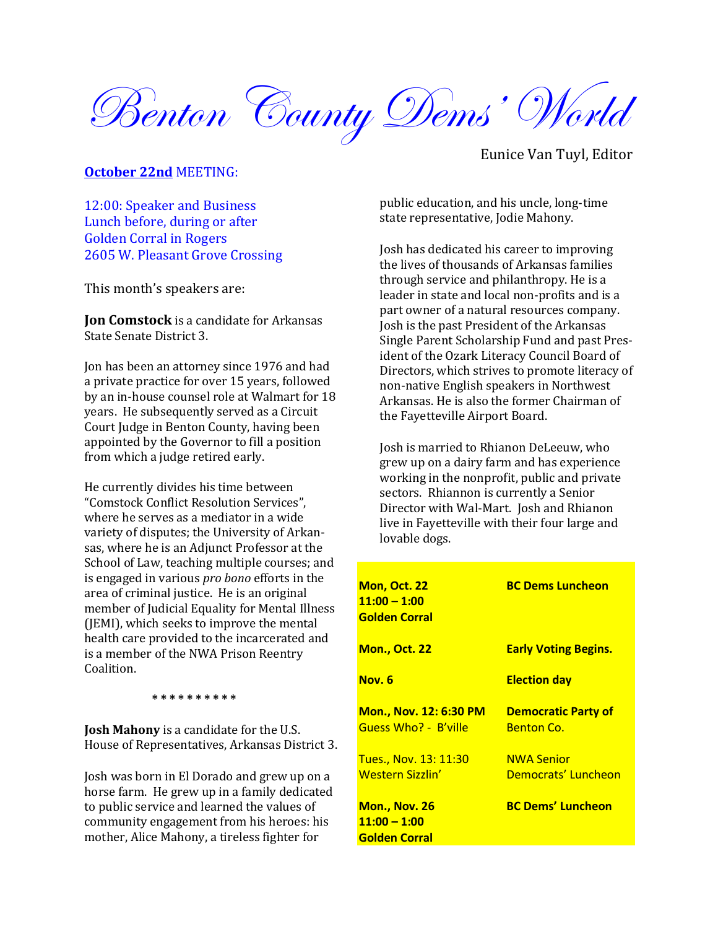Benton County Dems' World

### **October 22nd** MEETING:

12:00: Speaker and Business Lunch before, during or after Golden Corral in Rogers 2605 W. Pleasant Grove Crossing

This month's speakers are:

**Jon Comstock** is a candidate for Arkansas State Senate District 3.

Jon has been an attorney since 1976 and had a private practice for over 15 years, followed by an in-house counsel role at Walmart for 18 years. He subsequently served as a Circuit Court Judge in Benton County, having been appointed by the Governor to fill a position from which a judge retired early.

He currently divides his time between "Comstock Conflict Resolution Services", where he serves as a mediator in a wide variety of disputes; the University of Arkansas, where he is an Adjunct Professor at the School of Law, teaching multiple courses; and is engaged in various *pro bono* efforts in the area of criminal justice. He is an original member of Judicial Equality for Mental Illness (JEMI), which seeks to improve the mental health care provided to the incarcerated and is a member of the NWA Prison Reentry Coalition.

 **\* \* \* \* \* \* \* \* \* \***

**Josh Mahony** is a candidate for the U.S. House of Representatives, Arkansas District 3.

Josh was born in El Dorado and grew up on a horse farm. He grew up in a family dedicated to public service and learned the values of community engagement from his heroes: his mother, Alice Mahony, a tireless fighter for

Eunice Van Tuyl, Editor

public education, and his uncle, long-time state representative, Jodie Mahony.

Josh has dedicated his career to improving the lives of thousands of Arkansas families through service and philanthropy. He is a leader in state and local non-profits and is a part owner of a natural resources company. Josh is the past President of the Arkansas Single Parent Scholarship Fund and past President of the Ozark Literacy Council Board of Directors, which strives to promote literacy of non-native English speakers in Northwest Arkansas. He is also the former Chairman of the Fayetteville Airport Board.

Josh is married to Rhianon DeLeeuw, who grew up on a dairy farm and has experience working in the nonprofit, public and private sectors. Rhiannon is currently a Senior Director with Wal-Mart. Josh and Rhianon live in Fayetteville with their four large and lovable dogs.

| <b>Mon, Oct. 22</b><br>$11:00 - 1:00$<br>Golden Corral   | <b>BC Dems Luncheon</b>                         |
|----------------------------------------------------------|-------------------------------------------------|
| <u> Mon., Oct. 22</u>                                    | <b>Early Voting Begins.</b>                     |
| Nov. 6                                                   | <b>Election day</b>                             |
| <u> Mon., Nov. 12: 6:30 PM </u><br>Guess Who? - B'ville  | <b>Democratic Party of</b><br><b>Benton Co.</b> |
| <u>Tues., Nov. 13: 11:30</u><br><u>Western Sizzlin'</u>  | <b>NWA Senior</b><br>Democrats' Luncheon        |
| <u> Mon., Nov. 26</u><br>$11:00 - 1:00$<br>Golden Corral | <b>BC Dems' Luncheon</b>                        |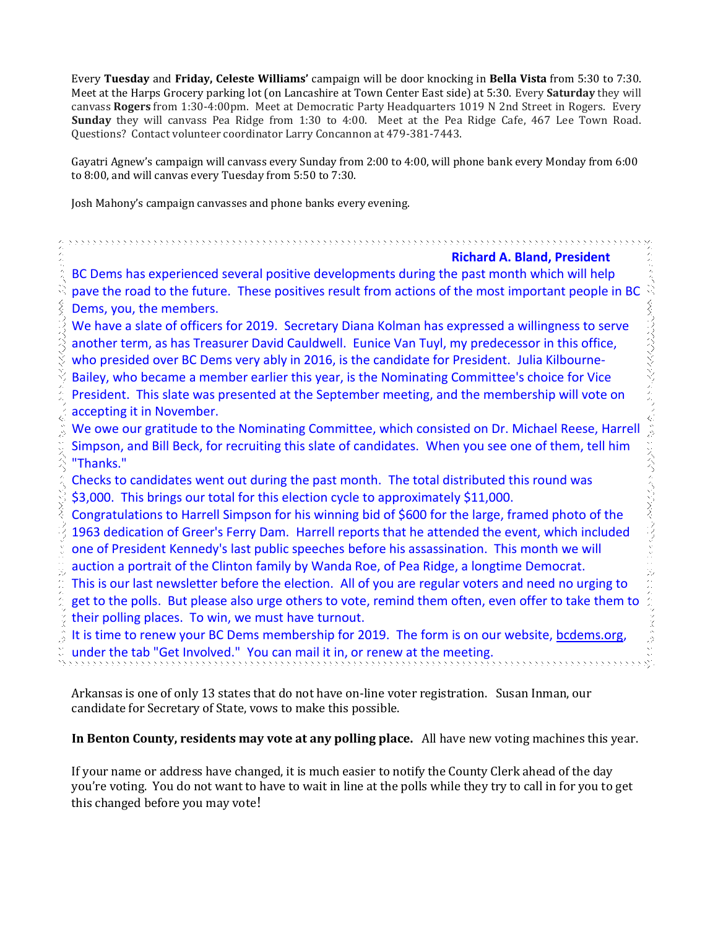Every **Tuesday** and **Friday, Celeste Williams'** campaign will be door knocking in **Bella Vista** from 5:30 to 7:30. Meet at the Harps Grocery parking lot (on Lancashire at Town Center East side) at 5:30. Every **Saturday** they will canvass **Rogers** from 1:30-4:00pm. Meet at Democratic Party Headquarters 1019 N 2nd Street in Rogers. Every **Sunday** they will canvass Pea Ridge from 1:30 to 4:00. Meet at the Pea Ridge Cafe, 467 Lee Town Road. Questions? Contact volunteer coordinator Larry Concannon at 479-381-7443.

Gayatri Agnew's campaign will canvass every Sunday from 2:00 to 4:00, will phone bank every Monday from 6:00 to 8:00, and will canvas every Tuesday from 5:50 to 7:30.

Josh Mahony's campaign canvasses and phone banks every evening.

### **Richard A. Bland, President**

くくうつうつうくく くうしゅんしょ ぐうしこくぐつ くろうつくそうしょくこ

BC Dems has experienced several positive developments during the past month which will help pave the road to the future. These positives result from actions of the most important people in BC Dems, you, the members.

We have a slate of officers for 2019. Secretary Diana Kolman has expressed a willingness to serve another term, as has Treasurer David Cauldwell. Eunice Van Tuyl, my predecessor in this office, who presided over BC Dems very ably in 2016, is the candidate for President. Julia Kilbourne-Bailey, who became a member earlier this year, is the Nominating Committee's choice for Vice President. This slate was presented at the September meeting, and the membership will vote on accepting it in November.

We owe our gratitude to the Nominating Committee, which consisted on Dr. Michael Reese, Harrell Simpson, and Bill Beck, for recruiting this slate of candidates. When you see one of them, tell him "Thanks."

Checks to candidates went out during the past month. The total distributed this round was \$3,000. This brings our total for this election cycle to approximately \$11,000.

Congratulations to Harrell Simpson for his winning bid of \$600 for the large, framed photo of the 1963 dedication of Greer's Ferry Dam. Harrell reports that he attended the event, which included one of President Kennedy's last public speeches before his assassination. This month we will auction a portrait of the Clinton family by Wanda Roe, of Pea Ridge, a longtime Democrat. This is our last newsletter before the election. All of you are regular voters and need no urging to get to the polls. But please also urge others to vote, remind them often, even offer to take them to their polling places. To win, we must have turnout.

It is time to renew your BC Dems membership for 2019. The form is on our website, [bcdems.org,](http://bcdems.org/) under the tab "Get Involved." You can mail it in, or renew at the meeting.

Arkansas is one of only 13 states that do not have on-line voter registration. Susan Inman, our candidate for Secretary of State, vows to make this possible.

## **In Benton County, residents may vote at any polling place.** All have new voting machines this year.

If your name or address have changed, it is much easier to notify the County Clerk ahead of the day you're voting. You do not want to have to wait in line at the polls while they try to call in for you to get this changed before you may vote!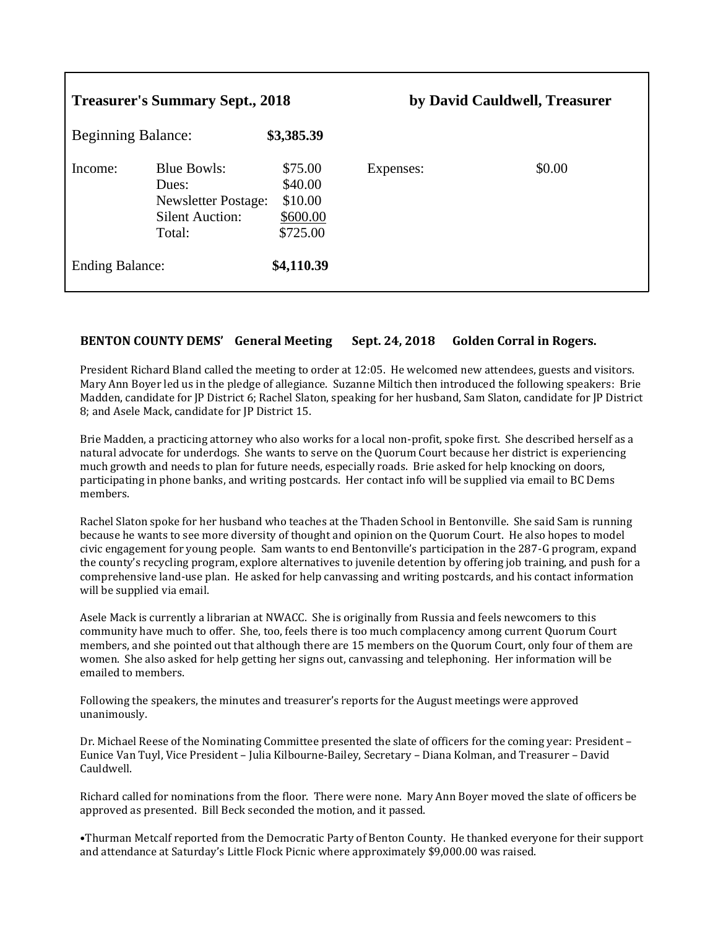| <b>Treasurer's Summary Sept., 2018</b> |                                                                                               | by David Cauldwell, Treasurer                         |           |        |
|----------------------------------------|-----------------------------------------------------------------------------------------------|-------------------------------------------------------|-----------|--------|
| <b>Beginning Balance:</b>              |                                                                                               | \$3,385.39                                            |           |        |
| Income:                                | <b>Blue Bowls:</b><br>Dues:<br><b>Newsletter Postage:</b><br><b>Silent Auction:</b><br>Total: | \$75.00<br>\$40.00<br>\$10.00<br>\$600.00<br>\$725.00 | Expenses: | \$0.00 |
| <b>Ending Balance:</b>                 |                                                                                               | \$4,110.39                                            |           |        |

## **BENTON COUNTY DEMS' General Meeting Sept. 24, 2018 Golden Corral in Rogers.**

President Richard Bland called the meeting to order at 12:05. He welcomed new attendees, guests and visitors. Mary Ann Boyer led us in the pledge of allegiance. Suzanne Miltich then introduced the following speakers: Brie Madden, candidate for JP District 6; Rachel Slaton, speaking for her husband, Sam Slaton, candidate for JP District 8; and Asele Mack, candidate for JP District 15.

Brie Madden, a practicing attorney who also works for a local non-profit, spoke first. She described herself as a natural advocate for underdogs. She wants to serve on the Quorum Court because her district is experiencing much growth and needs to plan for future needs, especially roads. Brie asked for help knocking on doors, participating in phone banks, and writing postcards. Her contact info will be supplied via email to BC Dems members.

Rachel Slaton spoke for her husband who teaches at the Thaden School in Bentonville. She said Sam is running because he wants to see more diversity of thought and opinion on the Quorum Court. He also hopes to model civic engagement for young people. Sam wants to end Bentonville's participation in the 287-G program, expand the county's recycling program, explore alternatives to juvenile detention by offering job training, and push for a comprehensive land-use plan. He asked for help canvassing and writing postcards, and his contact information will be supplied via email.

Asele Mack is currently a librarian at NWACC. She is originally from Russia and feels newcomers to this community have much to offer. She, too, feels there is too much complacency among current Quorum Court members, and she pointed out that although there are 15 members on the Quorum Court, only four of them are women. She also asked for help getting her signs out, canvassing and telephoning. Her information will be emailed to members.

Following the speakers, the minutes and treasurer's reports for the August meetings were approved unanimously.

Dr. Michael Reese of the Nominating Committee presented the slate of officers for the coming year: President – Eunice Van Tuyl, Vice President – Julia Kilbourne-Bailey, Secretary – Diana Kolman, and Treasurer – David Cauldwell.

Richard called for nominations from the floor. There were none. Mary Ann Boyer moved the slate of officers be approved as presented. Bill Beck seconded the motion, and it passed.

•Thurman Metcalf reported from the Democratic Party of Benton County. He thanked everyone for their support and attendance at Saturday's Little Flock Picnic where approximately \$9,000.00 was raised.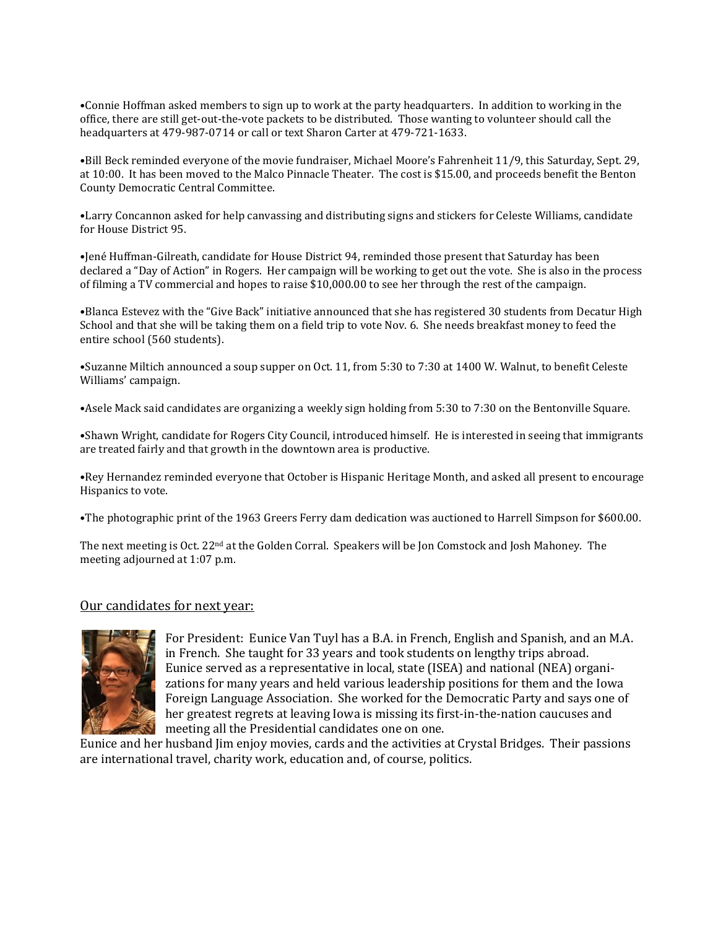•Connie Hoffman asked members to sign up to work at the party headquarters. In addition to working in the office, there are still get-out-the-vote packets to be distributed. Those wanting to volunteer should call the headquarters at 479-987-0714 or call or text Sharon Carter at 479-721-1633.

•Bill Beck reminded everyone of the movie fundraiser, Michael Moore's Fahrenheit 11/9, this Saturday, Sept. 29, at 10:00. It has been moved to the Malco Pinnacle Theater. The cost is \$15.00, and proceeds benefit the Benton County Democratic Central Committee.

•Larry Concannon asked for help canvassing and distributing signs and stickers for Celeste Williams, candidate for House District 95.

•Jené Huffman-Gilreath, candidate for House District 94, reminded those present that Saturday has been declared a "Day of Action" in Rogers. Her campaign will be working to get out the vote. She is also in the process of filming a TV commercial and hopes to raise \$10,000.00 to see her through the rest of the campaign.

•Blanca Estevez with the "Give Back" initiative announced that she has registered 30 students from Decatur High School and that she will be taking them on a field trip to vote Nov. 6. She needs breakfast money to feed the entire school (560 students).

•Suzanne Miltich announced a soup supper on Oct. 11, from 5:30 to 7:30 at 1400 W. Walnut, to benefit Celeste Williams' campaign.

•Asele Mack said candidates are organizing a weekly sign holding from 5:30 to 7:30 on the Bentonville Square.

•Shawn Wright, candidate for Rogers City Council, introduced himself. He is interested in seeing that immigrants are treated fairly and that growth in the downtown area is productive.

•Rey Hernandez reminded everyone that October is Hispanic Heritage Month, and asked all present to encourage Hispanics to vote.

•The photographic print of the 1963 Greers Ferry dam dedication was auctioned to Harrell Simpson for \$600.00.

The next meeting is Oct. 22nd at the Golden Corral. Speakers will be Jon Comstock and Josh Mahoney. The meeting adjourned at 1:07 p.m.

#### Our candidates for next year:



For President: Eunice Van Tuyl has a B.A. in French, English and Spanish, and an M.A. in French. She taught for 33 years and took students on lengthy trips abroad. Eunice served as a representative in local, state (ISEA) and national (NEA) organizations for many years and held various leadership positions for them and the Iowa Foreign Language Association. She worked for the Democratic Party and says one of her greatest regrets at leaving Iowa is missing its first-in-the-nation caucuses and meeting all the Presidential candidates one on one.

Eunice and her husband Jim enjoy movies, cards and the activities at Crystal Bridges. Their passions are international travel, charity work, education and, of course, politics.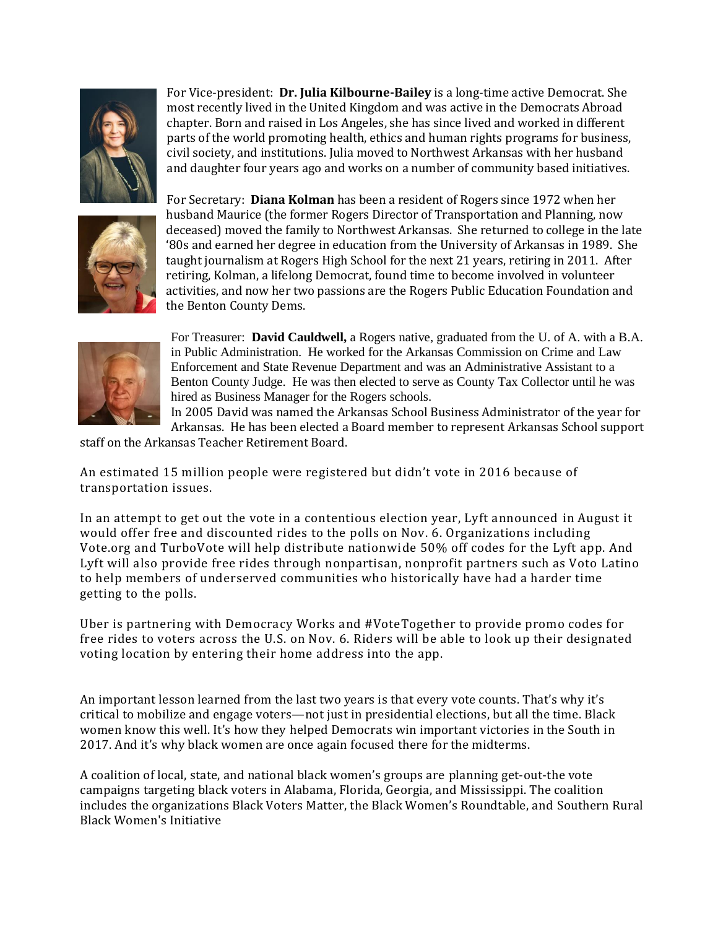

For Vice-president: **Dr. Julia Kilbourne-Bailey** is a long-time active Democrat. She most recently lived in the United Kingdom and was active in the Democrats Abroad chapter. Born and raised in Los Angeles, she has since lived and worked in different parts of the world promoting health, ethics and human rights programs for business, civil society, and institutions. Julia moved to Northwest Arkansas with her husband and daughter four years ago and works on a number of community based initiatives.



For Secretary: **Diana Kolman** has been a resident of Rogers since 1972 when her husband Maurice (the former Rogers Director of Transportation and Planning, now deceased) moved the family to Northwest Arkansas. She returned to college in the late '80s and earned her degree in education from the University of Arkansas in 1989. She taught journalism at Rogers High School for the next 21 years, retiring in 2011. After retiring, Kolman, a lifelong Democrat, found time to become involved in volunteer activities, and now her two passions are the Rogers Public Education Foundation and the Benton County Dems.



For Treasurer: **David Cauldwell,** a Rogers native, graduated from the U. of A. with a B.A. in Public Administration. He worked for the Arkansas Commission on Crime and Law Enforcement and State Revenue Department and was an Administrative Assistant to a Benton County Judge. He was then elected to serve as County Tax Collector until he was hired as Business Manager for the Rogers schools.

In 2005 David was named the Arkansas School Business Administrator of the year for Arkansas. He has been elected a Board member to represent Arkansas School support

staff on the Arkansas Teacher Retirement Board.

An estimated 15 million people were registered but didn't vote in 2016 because of transportation issues.

In an attempt to get out the vote in a contentious election year, Lyft announced in August it would offer free and discounted rides to the polls on Nov. 6. Organizations including Vote.org and TurboVote will help distribute nationwide 50% off codes for the Lyft app. And Lyft will also provide free rides through nonpartisan, nonprofit partners such as Voto Latino to help members of underserved communities who historically have had a harder time getting to the polls.

Uber is partnering with Democracy Works and #VoteTogether to provide promo codes for free rides to voters across the U.S. on Nov. 6. Riders will be able to look up their designated voting location by entering their home address into the app.

An important lesson learned from the last two years is that every vote counts. That's why it's critical to mobilize and engage voters—not just in presidential elections, but all the time. Black women know this well. It's how they helped Democrats win important victories in the South in 2017. And it's why black women are once again focused there for the midterms.

A coalition of local, state, and national black women's groups are [planning get-out-the vote](https://www.usatoday.com/story/news/2018/07/10/black-women-civic-groups-ramp-up-efforts-south/772971002/)  [campaigns](https://www.usatoday.com/story/news/2018/07/10/black-women-civic-groups-ramp-up-efforts-south/772971002/) targeting black voters in Alabama, Florida, Georgia, and Mississippi. The coalition includes the organizations Black Voters Matter, the Black Women's Roundtable, and Southern Rural Black Women's Initiative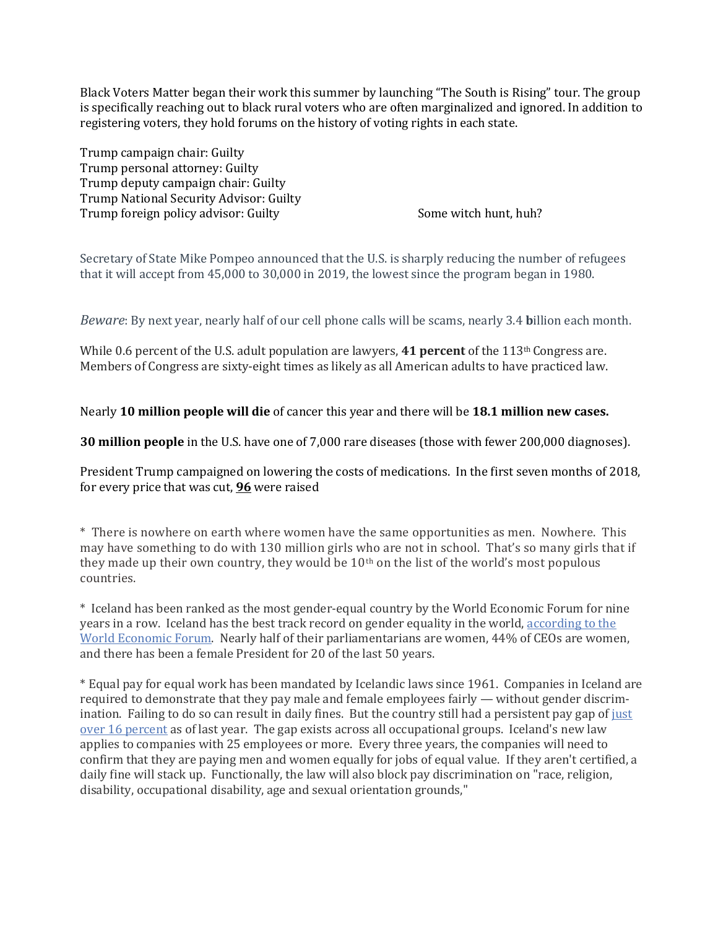Black Voters Matter began their work this summer by launching "The South is Rising" tour. The group is specifically reaching out to black rural voters who are often marginalized and ignored. In addition to registering voters, they hold forums on the history of voting rights in each state.

Trump campaign chair: Guilty Trump personal attorney: Guilty Trump deputy campaign chair: Guilty Trump National Security Advisor: Guilty Trump foreign policy advisor: Guilty Some witch hunt, huh?

Secretary of State Mike Pompeo announced that the U.S. is sharply reducing the number of refugees that it will accept from 45,000 to 30,000 in 2019, the lowest since the program began in 1980.

*Beware*: By next year, nearly half of our cell phone calls will be scams, nearly 3.4 **b**illion each month.

While 0.6 percent of the U.S. adult population are lawyers, **41 percent** of the 113<sup>th</sup> Congress are. Members of Congress are sixty-eight times as likely as all American adults to have practiced law.

## Nearly **10 million people will die** of cancer this year and there will be **18.1 million new cases.**

**30 million people** in the U.S. have one of 7,000 rare diseases (those with fewer 200,000 diagnoses).

President Trump campaigned on lowering the costs of medications. In the first seven months of 2018, for every price that was cut, **96** were raised

\* There is nowhere on earth where women have the same opportunities as men. Nowhere. This may have something to do with 130 million girls who are not in school. That's so many girls that if they made up their own country, they would be 10th on the list of the world's most populous countries.

\* Iceland has been ranked as the most gender-equal country by the World Economic Forum for nine years in a row. Iceland has the best track record on gender equality in the world, [according](http://reports.weforum.org/global-gender-gap-report-2016/economies/#economy=ISL) to the World [Economic](http://reports.weforum.org/global-gender-gap-report-2016/economies/#economy=ISL) Forum. Nearly half of their parliamentarians are women, 44% of CEOs are women, and there has been a female President for 20 of the last 50 years.

\* Equal pay for equal work has been mandated by Icelandic laws since 1961. Companies in Iceland are required to demonstrate that they pay male and female employees fairly — without gender discrimination. Failing to do so can result in daily fines. But the country still had a persistent pay gap of [just](http://www.statice.is/publications/news-archive/wages-and-income/unadjusted-gender-pay-gap-2016/) over 16 [percent](http://www.statice.is/publications/news-archive/wages-and-income/unadjusted-gender-pay-gap-2016/) as of last year. The gap exists across all occupational groups. Iceland's new law applies to companies with 25 employees or more. Every three years, the companies will need to confirm that they are paying men and women equally for jobs of equal value. If they aren't certified, a daily fine will stack up. Functionally, the law will also block pay discrimination on "race, religion, disability, occupational disability, age and sexual orientation grounds,"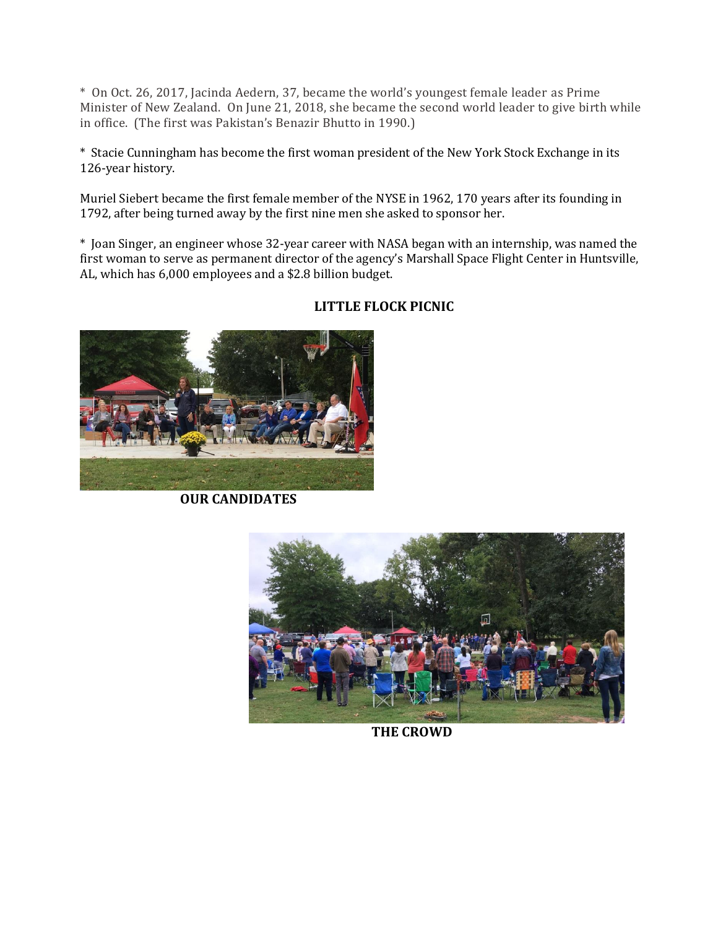\* On Oct. 26, 2017, Jacinda Aedern, 37, became the world's youngest female leader as Prime Minister of New Zealand. On June 21, 2018, she became the second world leader to give birth while in office. (The first was Pakistan's Benazir Bhutto in 1990.)

\* Stacie Cunningham has become the first woman president of the New York Stock Exchange in its 126-year history.

Muriel Siebert became the first female member of the NYSE in 1962, 170 years after its founding in 1792, after being turned away by the first nine men she asked to sponsor her.

\* Joan Singer, an engineer whose 32-year career with NASA began with an internship, was named the first woman to serve as permanent director of the agency's Marshall Space Flight Center in Huntsville, AL, which has 6,000 employees and a \$2.8 billion budget.



# **LITTLE FLOCK PICNIC**

 **OUR CANDIDATES**



**THE CROWD**